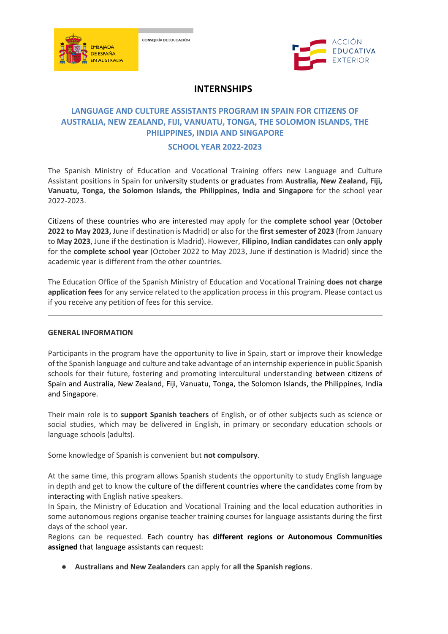





# **INTERNSHIPS**

# **LANGUAGE AND CULTURE ASSISTANTS PROGRAM IN SPAIN FOR CITIZENS OF AUSTRALIA, NEW ZEALAND, FIJI, VANUATU, TONGA, THE SOLOMON ISLANDS, THE PHILIPPINES, INDIA AND SINGAPORE**

# **SCHOOL YEAR 2022-2023**

The Spanish Ministry of Education and Vocational Training offers new Language and Culture Assistant positions in Spain for university students or graduates from **Australia, New Zealand, Fiji, Vanuatu, Tonga, the Solomon Islands, the Philippines, India and Singapore** for the school year 2022-2023.

Citizens of these countries who are interested may apply for the **complete school year** (**October 2022 to May 2023,** June if destination is Madrid) or also for the **first semester of 2023** (from January to **May 2023**, June if the destination is Madrid). However, **Filipino, Indian candidates** can **only apply** for the **complete school year** (October 2022 to May 2023, June if destination is Madrid) since the academic year is different from the other countries.

The Education Office of the Spanish Ministry of Education and Vocational Training **does not charge application fees** for any service related to the application process in this program. Please contact us if you receive any petition of fees for this service.

# **GENERAL INFORMATION**

Participants in the program have the opportunity to live in Spain, start or improve their knowledge of the Spanish language and culture and take advantage of an internship experience in public Spanish schools for their future, fostering and promoting intercultural understanding between citizens of Spain and Australia, New Zealand, Fiji, Vanuatu, Tonga, the Solomon Islands, the Philippines, India and Singapore.

Their main role is to **support Spanish teachers** of English, or of other subjects such as science or social studies, which may be delivered in English, in primary or secondary education schools or language schools (adults).

Some knowledge of Spanish is convenient but **not compulsory**.

At the same time, this program allows Spanish students the opportunity to study English language in depth and get to know the culture of the different countries where the candidates come from by interacting with English native speakers.

In Spain, the Ministry of Education and Vocational Training and the local education authorities in some autonomous regions organise teacher training courses for language assistants during the first days of the school year.

Regions can be requested. Each country has **different regions or Autonomous Communities assigned** that language assistants can request:

● **Australians and New Zealanders** can apply for **all the Spanish regions**.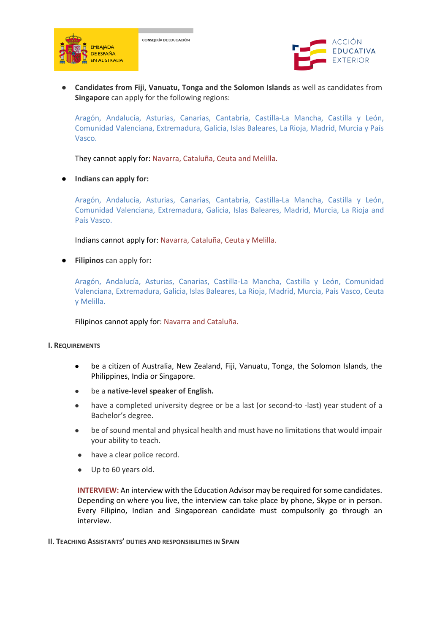

CONSEJERÍA DE EDUCACIÓN



● **Candidates from Fiji, Vanuatu, Tonga and the Solomon Islands** as well as candidates from **Singapore** can apply for the following regions:

Aragón, Andalucía, Asturias, Canarias, Cantabria, Castilla-La Mancha, Castilla y León, Comunidad Valenciana, Extremadura, Galicia, Islas Baleares, La Rioja, Madrid, Murcia y País Vasco.

They cannot apply for: Navarra, Cataluña, Ceuta and Melilla.

**Indians can apply for:** 

Aragón, Andalucía, Asturias, Canarias, Cantabria, Castilla-La Mancha, Castilla y León, Comunidad Valenciana, Extremadura, Galicia, Islas Baleares, Madrid, Murcia, La Rioja and País Vasco.

Indians cannot apply for: Navarra, Cataluña, Ceuta y Melilla.

**Filipinos** can apply for:

Aragón, Andalucía, Asturias, Canarias, Castilla-La Mancha, Castilla y León, Comunidad Valenciana, Extremadura, Galicia, Islas Baleares, La Rioja, Madrid, Murcia, País Vasco, Ceuta y Melilla.

Filipinos cannot apply for: Navarra and Cataluña.

#### **I. REQUIREMENTS**

- be a citizen of Australia, New Zealand, Fiji, Vanuatu, Tonga, the Solomon Islands, the Philippines, India or Singapore.
- be a native-level speaker of English.
- have a completed university degree or be a last (or second-to -last) year student of a Bachelor's degree.
- be of sound mental and physical health and must have no limitations that would impair your ability to teach.
- have a clear police record.
- Up to 60 years old.

**INTERVIEW:** An interview with the Education Advisor may be required for some candidates. Depending on where you live, the interview can take place by phone, Skype or in person. Every Filipino, Indian and Singaporean candidate must compulsorily go through an interview.

#### **II. TEACHING ASSISTANTS' DUTIES AND RESPONSIBILITIES IN SPAIN**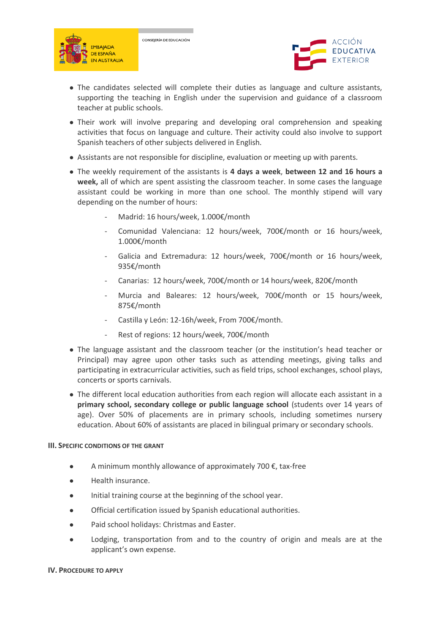





- The candidates selected will complete their duties as language and culture assistants, supporting the teaching in English under the supervision and guidance of a classroom teacher at public schools.
- Their work will involve preparing and developing oral comprehension and speaking activities that focus on language and culture. Their activity could also involve to support Spanish teachers of other subjects delivered in English.
- Assistants are not responsible for discipline, evaluation or meeting up with parents.
- The weekly requirement of the assistants is **4 days a week**, **between 12 and 16 hours a week,** all of which are spent assisting the classroom teacher. In some cases the language assistant could be working in more than one school. The monthly stipend will vary depending on the number of hours:
	- Madrid: 16 hours/week, 1.000€/month
	- Comunidad Valenciana: 12 hours/week, 700€/month or 16 hours/week, 1.000€/month
	- Galicia and Extremadura: 12 hours/week, 700€/month or 16 hours/week, 935€/month
	- Canarias: 12 hours/week, 700€/month or 14 hours/week, 820€/month
	- Murcia and Baleares: 12 hours/week, 700€/month or 15 hours/week, 875€/month
	- Castilla y León: 12-16h/week, From 700€/month.
	- Rest of regions: 12 hours/week, 700€/month
- The language assistant and the classroom teacher (or the institution's head teacher or Principal) may agree upon other tasks such as attending meetings, giving talks and participating in extracurricular activities, such as field trips, school exchanges, school plays, concerts or sports carnivals.
- The different local education authorities from each region will allocate each assistant in a **primary school, secondary college or public language school** (students over 14 years of age). Over 50% of placements are in primary schools, including sometimes nursery education. About 60% of assistants are placed in bilingual primary or secondary schools.

#### **III. SPECIFIC CONDITIONS OF THE GRANT**

- $\bullet$  A minimum monthly allowance of approximately 700 €, tax-free
- Health insurance.
- Initial training course at the beginning of the school year.
- Official certification issued by Spanish educational authorities.
- Paid school holidays: Christmas and Easter.
- Lodging, transportation from and to the country of origin and meals are at the applicant's own expense.

#### **IV. PROCEDURE TO APPLY**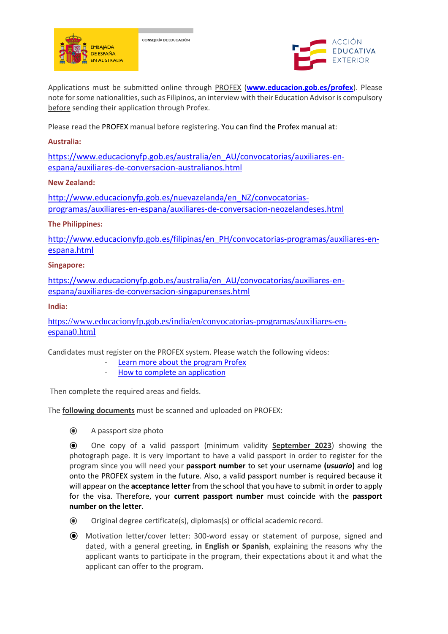

CONSEJERÍA DE EDUCACIÓN



Applications must be submitted online through PROFEX (**[www.educacion.gob.es/profex](http://www.educacion.gob.es/profex)**). Please note for some nationalities, such as Filipinos, an interview with their Education Advisor is compulsory before sending their application through Profex.

Please read the PROFEX manual before registering. You can find the Profex manual at:

# **Australia:**

[https://www.educacionyfp.gob.es/australia/en\\_AU/convocatorias/auxiliares-en](https://www.educacionyfp.gob.es/australia/en_AU/convocatorias/auxiliares-en-espana/auxiliares-de-conversacion-australianos.html)[espana/auxiliares-de-conversacion-australianos.html](https://www.educacionyfp.gob.es/australia/en_AU/convocatorias/auxiliares-en-espana/auxiliares-de-conversacion-australianos.html)

# **New Zealand:**

[http://www.educacionyfp.gob.es/nuevazelanda/en\\_NZ/convocatorias](http://www.educacionyfp.gob.es/nuevazelanda/en_NZ/convocatorias-programas/auxiliares-en-espana/auxiliares-de-conversacion-neozelandeses.html)[programas/auxiliares-en-espana/auxiliares-de-conversacion-neozelandeses.html](http://www.educacionyfp.gob.es/nuevazelanda/en_NZ/convocatorias-programas/auxiliares-en-espana/auxiliares-de-conversacion-neozelandeses.html)

# **The Philippines:**

[http://www.educacionyfp.gob.es/filipinas/en\\_PH/convocatorias-programas/auxiliares-en](http://www.educacionyfp.gob.es/filipinas/en_PH/convocatorias-programas/auxiliares-en-espana.html)[espana.html](http://www.educacionyfp.gob.es/filipinas/en_PH/convocatorias-programas/auxiliares-en-espana.html)

# **Singapore:**

[https://www.educacionyfp.gob.es/australia/en\\_AU/convocatorias/auxiliares-en](https://www.educacionyfp.gob.es/australia/en_AU/convocatorias/auxiliares-en-espana/auxiliares-de-conversacion-singapurenses.html)[espana/auxiliares-de-conversacion-singapurenses.html](https://www.educacionyfp.gob.es/australia/en_AU/convocatorias/auxiliares-en-espana/auxiliares-de-conversacion-singapurenses.html)

# **India:**

[https://www.educacionyfp.gob.es/india/en/convocatorias-programas/auxiliares-en](https://www.educacionyfp.gob.es/india/en/convocatorias-programas/auxiliares-en-espana0.html)[espana0.html](https://www.educacionyfp.gob.es/india/en/convocatorias-programas/auxiliares-en-espana0.html)

Candidates must register on the PROFEX system. Please watch the following videos:

- [Learn more about the program Profex](https://www.youtube.com/watch?v=pUeYKmUd-b8&feature=youtu.be)
- [How to complete an application](https://www.youtube.com/watch?v=oUQ8wXQpj28&feature=youtu.be)

Then complete the required areas and fields.

The **following documents** must be scanned and uploaded on PROFEX:

⦿ A passport size photo

⦿ One copy of a valid passport (minimum validity **September 2023**) showing the photograph page. It is very important to have a valid passport in order to register for the program since you will need your **passport number** to set your username **(***usuario***)** and log onto the PROFEX system in the future. Also, a valid passport number is required because it will appear on the **acceptance letter** from the school that you have to submit in order to apply for the visa. Therefore, your **current passport number** must coincide with the **passport number on the letter**.

- ⦿ Original degree certificate(s), diplomas(s) or official academic record.
- ⦿ Motivation letter/cover letter: 300-word essay or statement of purpose, signed and dated, with a general greeting, **in English or Spanish**, explaining the reasons why the applicant wants to participate in the program, their expectations about it and what the applicant can offer to the program.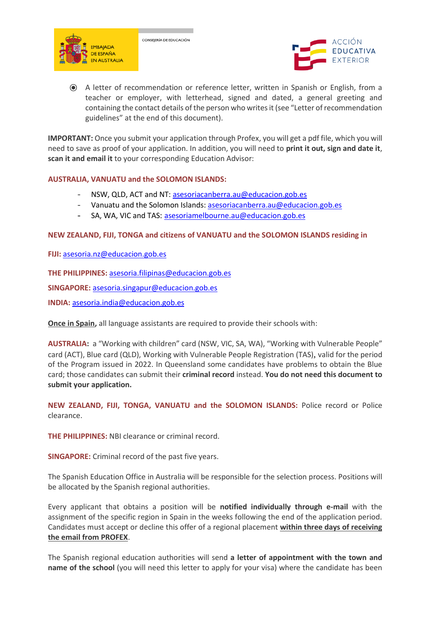



⦿ A letter of recommendation or reference letter, written in Spanish or English, from a teacher or employer, with letterhead, signed and dated, a general greeting and containing the contact details of the person who writes it (see "Letter of recommendation guidelines" at the end of this document).

**IMPORTANT:** Once you submit your application through Profex, you will get a pdf file, which you will need to save as proof of your application. In addition, you will need to **print it out, sign and date it**, **scan it and email it** to your corresponding Education Advisor:

### **AUSTRALIA, VANUATU and the SOLOMON ISLANDS:**

- NSW, QLD, ACT and NT[: asesoriacanberra.au@educacion.gob.es](mailto:asesoriacanberra.au@educacion.gob.es)
- Vanuatu and the Solomon Islands: [asesoriacanberra.au@educacion.gob.es](mailto:asesoriacanberra.au@educacion.gob.es)
- SA, WA, VIC and TAS: [asesoriamelbourne.au@educacion.gob.es](mailto:asesoriamelbourne.au@educacion.gob.es)

### **NEW ZEALAND, FIJI, TONGA and citizens of VANUATU and the SOLOMON ISLANDS residing in**

**FIJI:** [asesoria.nz@educacion.gob.es](mailto:asesoria.nz@educacion.gob.es)

**THE PHILIPPINES:** [asesoria.filipinas@educacion.gob.es](mailto:asesoria.filipinas@educacion.gob.es)

**SINGAPORE:** [asesoria.singapur@educacion.gob.es](mailto:asesoria.singapur@educacion.gob.es)

**INDIA:** [asesoria.india@educacion.gob.es](mailto:asesoria.india@educacion.gob.es)

**Once in Spain,** all language assistants are required to provide their schools with:

**AUSTRALIA:** a "Working with children" card (NSW, VIC, SA, WA), "Working with Vulnerable People" card (ACT), Blue card (QLD), Working with Vulnerable People Registration (TAS)*,* valid for the period of the Program issued in 2022. In Queensland some candidates have problems to obtain the Blue card; those candidates can submit their **criminal record** instead. **You do not need this document to submit your application.**

**NEW ZEALAND, FIJI, TONGA, VANUATU and the SOLOMON ISLANDS:** Police record or Police clearance.

**THE PHILIPPINES:** NBI clearance or criminal record.

**SINGAPORE:** Criminal record of the past five years.

The Spanish Education Office in Australia will be responsible for the selection process. Positions will be allocated by the Spanish regional authorities.

Every applicant that obtains a position will be **notified individually through e-mail** with the assignment of the specific region in Spain in the weeks following the end of the application period. Candidates must accept or decline this offer of a regional placement **within three days of receiving the email from PROFEX**.

The Spanish regional education authorities will send **a letter of appointment with the town and name of the school** (you will need this letter to apply for your visa) where the candidate has been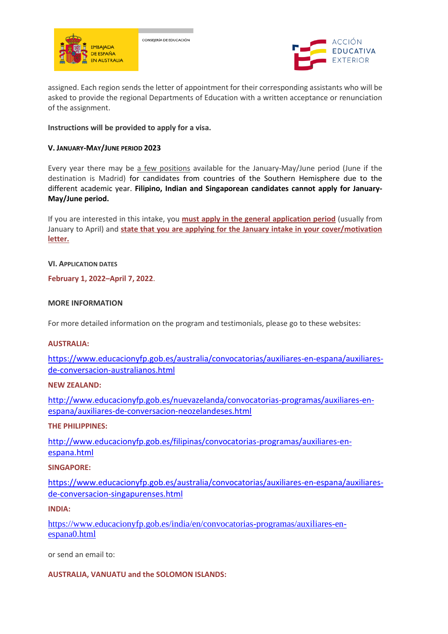

CONSEJERÍA DE EDUCACIÓN



assigned. Each region sends the letter of appointment for their corresponding assistants who will be asked to provide the regional Departments of Education with a written acceptance or renunciation of the assignment.

### **Instructions will be provided to apply for a visa.**

#### **V. JANUARY-MAY/JUNE PERIOD 2023**

Every year there may be a few positions available for the January-May/June period (June if the destination is Madrid) for candidates from countries of the Southern Hemisphere due to the different academic year. **Filipino, Indian and Singaporean candidates cannot apply for January-May/June period.** 

If you are interested in this intake, you **must apply in the general application period** (usually from January to April) and **state that you are applying for the January intake in your cover/motivation letter.** 

### **VI. APPLICATION DATES**

**February 1, 2022–April 7, 2022**.

### **MORE INFORMATION**

For more detailed information on the program and testimonials, please go to these websites:

#### **AUSTRALIA:**

[https://www.educacionyfp.gob.es/australia/convocatorias/auxiliares-en-espana/auxiliares](https://www.educacionyfp.gob.es/australia/convocatorias/auxiliares-en-espana/auxiliares-de-conversacion-australianos.html)[de-conversacion-australianos.html](https://www.educacionyfp.gob.es/australia/convocatorias/auxiliares-en-espana/auxiliares-de-conversacion-australianos.html)

### **NEW ZEALAND:**

[http://www.educacionyfp.gob.es/nuevazelanda/convocatorias-programas/auxiliares-en](http://www.educacionyfp.gob.es/nuevazelanda/convocatorias-programas/auxiliares-en-espana/auxiliares-de-conversacion-neozelandeses.html)[espana/auxiliares-de-conversacion-neozelandeses.html](http://www.educacionyfp.gob.es/nuevazelanda/convocatorias-programas/auxiliares-en-espana/auxiliares-de-conversacion-neozelandeses.html)

### **THE PHILIPPINES:**

[http://www.educacionyfp.gob.es/filipinas/convocatorias-programas/auxiliares-en](http://www.educacionyfp.gob.es/filipinas/convocatorias-programas/auxiliares-en-espana.html)[espana.html](http://www.educacionyfp.gob.es/filipinas/convocatorias-programas/auxiliares-en-espana.html)

#### **SINGAPORE:**

[https://www.educacionyfp.gob.es/australia/convocatorias/auxiliares-en-espana/auxiliares](https://www.educacionyfp.gob.es/australia/convocatorias/auxiliares-en-espana/auxiliares-de-conversacion-singapurenses.html)[de-conversacion-singapurenses.html](https://www.educacionyfp.gob.es/australia/convocatorias/auxiliares-en-espana/auxiliares-de-conversacion-singapurenses.html)

#### **INDIA:**

[https://www.educacionyfp.gob.es/india/en/convocatorias-programas/auxiliares-en](https://www.educacionyfp.gob.es/india/en/convocatorias-programas/auxiliares-en-espana0.html)[espana0.html](https://www.educacionyfp.gob.es/india/en/convocatorias-programas/auxiliares-en-espana0.html)

or send an email to:

# **AUSTRALIA, VANUATU and the SOLOMON ISLANDS:**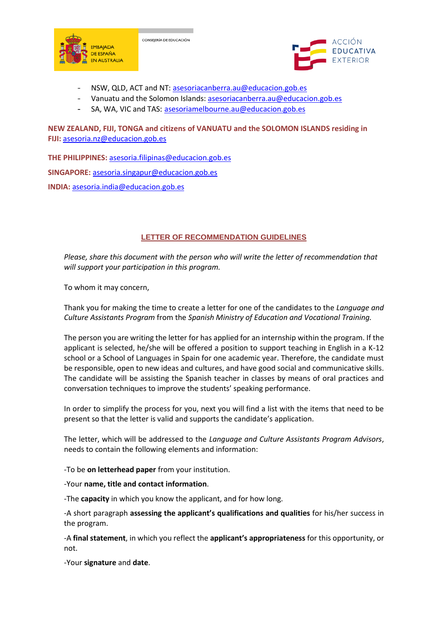



- NSW, QLD, ACT and NT[: asesoriacanberra.au@educacion.gob.es](mailto:asesoriacanberra.au@educacion.gob.es)

CONSEJERÍA DE EDUCACIÓN

- Vanuatu and the Solomon Islands: [asesoriacanberra.au@educacion.gob.es](mailto:asesoriacanberra.au@educacion.gob.es)
- SA, WA, VIC and TAS: [asesoriamelbourne.au@educacion.gob.es](mailto:asesoriamelbourne.au@educacion.gob.es)

**NEW ZEALAND, FIJI, TONGA and citizens of VANUATU and the SOLOMON ISLANDS residing in FIJI:** [asesoria.nz@educacion.gob.es](mailto:asesoria.nz@educacion.gob.es)

**THE PHILIPPINES:** [asesoria.filipinas@educacion.gob.es](mailto:asesoria.filipinas@educacion.gob.es) **SINGAPORE:** [asesoria.singapur@educacion.gob.es](mailto:asesoria.singapur@educacion.gob.es) **INDIA:** [asesoria.india@educacion.gob.es](mailto:asesoria.india@educacion.gob.es)

### **LETTER OF RECOMMENDATION GUIDELINES**

*Please, share this document with the person who will write the letter of recommendation that will support your participation in this program.* 

To whom it may concern,

Thank you for making the time to create a letter for one of the candidates to the *Language and Culture Assistants Program* from the *Spanish Ministry of Education and Vocational Training.*

The person you are writing the letter for has applied for an internship within the program. If the applicant is selected, he/she will be offered a position to support teaching in English in a K-12 school or a School of Languages in Spain for one academic year. Therefore, the candidate must be responsible, open to new ideas and cultures, and have good social and communicative skills. The candidate will be assisting the Spanish teacher in classes by means of oral practices and conversation techniques to improve the students' speaking performance.

In order to simplify the process for you, next you will find a list with the items that need to be present so that the letter is valid and supports the candidate's application.

The letter, which will be addressed to the *Language and Culture Assistants Program Advisors*, needs to contain the following elements and information:

-To be **on letterhead paper** from your institution.

-Your **name, title and contact information**.

-The **capacity** in which you know the applicant, and for how long.

-A short paragraph **assessing the applicant's qualifications and qualities** for his/her success in the program.

-A **final statement**, in which you reflect the **applicant's appropriateness** for this opportunity, or not.

-Your **signature** and **date**.